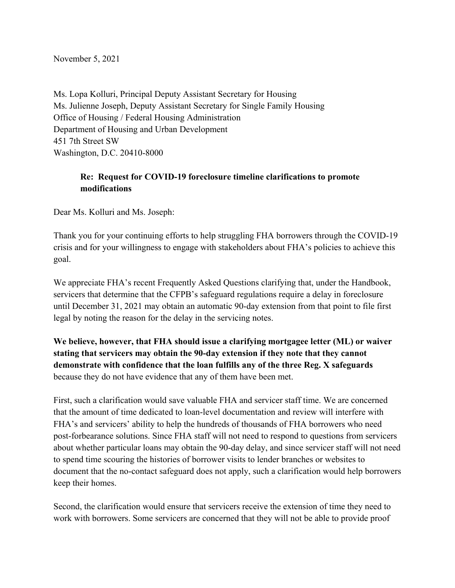November 5, 2021

Ms. Lopa Kolluri, Principal Deputy Assistant Secretary for Housing Ms. Julienne Joseph, Deputy Assistant Secretary for Single Family Housing Office of Housing / Federal Housing Administration Department of Housing and Urban Development 451 7th Street SW Washington, D.C. 20410-8000

## **Re: Request for COVID-19 foreclosure timeline clarifications to promote modifications**

Dear Ms. Kolluri and Ms. Joseph:

Thank you for your continuing efforts to help struggling FHA borrowers through the COVID-19 crisis and for your willingness to engage with stakeholders about FHA's policies to achieve this goal.

We appreciate FHA's recent Frequently Asked Questions clarifying that, under the Handbook, servicers that determine that the CFPB's safeguard regulations require a delay in foreclosure until December 31, 2021 may obtain an automatic 90-day extension from that point to file first legal by noting the reason for the delay in the servicing notes.

**We believe, however, that FHA should issue a clarifying mortgagee letter (ML) or waiver stating that servicers may obtain the 90-day extension if they note that they cannot demonstrate with confidence that the loan fulfills any of the three Reg. X safeguards** because they do not have evidence that any of them have been met.

First, such a clarification would save valuable FHA and servicer staff time. We are concerned that the amount of time dedicated to loan-level documentation and review will interfere with FHA's and servicers' ability to help the hundreds of thousands of FHA borrowers who need post-forbearance solutions. Since FHA staff will not need to respond to questions from servicers about whether particular loans may obtain the 90-day delay, and since servicer staff will not need to spend time scouring the histories of borrower visits to lender branches or websites to document that the no-contact safeguard does not apply, such a clarification would help borrowers keep their homes.

Second, the clarification would ensure that servicers receive the extension of time they need to work with borrowers. Some servicers are concerned that they will not be able to provide proof